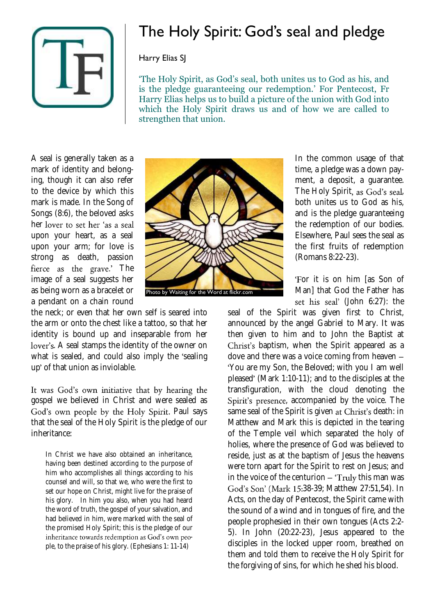

## The Holy Spirit: God's seal and pledge

## Harry Elias SJ

'The Holy Spirit, as God's seal, both unites us to God as his, and is the pledge guaranteeing our redemption.' For Pentecost, Fr Harry Elias helps us to build a picture of the union with God into which the Holy Spirit draws us and of how we are called to strengthen that union.

A seal is generally taken as a mark of identity and belonging, though it can also refer to the device by which this mark is made. In the Song of Songs (8:6), the beloved asks her lover to set her 'as a seal upon your heart, as a seal upon your arm; for love is strong as death, passion fierce as the grave.' The image of a seal suggests her as being worn as a bracelet or a pendant on a chain round



the neck; or even that her own self is seared into the arm or onto the chest like a tattoo, so that her identity is bound up and inseparable from her lover's. A seal stamps the identity of the owner on what is sealed, and could also imply the 'sealing up' of that union as inviolable.

It was God's own initiative that by hearing the gospel we believed in Christ and were sealed as God's own people by the Holy Spirit. Paul says that the seal of the Holy Spirit is the pledge of our inheritance:

In Christ we have also obtained an inheritance, having been destined according to the purpose of him who accomplishes all things according to his counsel and will, so that we, who were the first to set our hope on Christ, might live for the praise of his glory. In him you also, when you had heard the word of truth, the gospel of your salvation, and had believed in him, were marked with the seal of the promised Holy Spirit; this is the pledge of our inheritance towards redemption as God's own people, to the praise of his glory. (Ephesians 1: 11-14)

In the common usage of that time, a pledge was a down payment, a deposit, a guarantee. The Holy Spirit, as God's seal, both unites us to God as his, and is the pledge guaranteeing the redemption of our bodies. Elsewhere, Paul sees the seal as the first fruits of redemption (Romans 8:22-23).

'For it is on him [as Son of Man] that God the Father has set his seal' (John 6:27): the

seal of the Spirit was given first to Christ, announced by the angel Gabriel to Mary. It was then given to him and to John the Baptist at Christ's baptism, when the Spirit appeared as a dove and there was a voice coming from heaven You are my Son, the Beloved; with you I am well pleased' (Mark 1:10-11); and to the disciples at the transfiguration, with the cloud denoting the Spirit's presence, accompanied by the voice. The same seal of the Spirit is given at Christ's death: in Matthew and Mark this is depicted in the tearing of the Temple veil which separated the holy of holies, where the presence of God was believed to reside, just as at the baptism of Jesus the heavens were torn apart for the Spirit to rest on Jesus; and in the voice of the centurion  $-$  'Truly this man was God's Son' (Mark 15:38-39; Matthew 27:51,54). In Acts, on the day of Pentecost, the Spirit came with the sound of a wind and in tongues of fire, and the people prophesied in their own tongues (Acts 2:2- 5). In John (20:22-23), Jesus appeared to the disciples in the locked upper room, breathed on them and told them to receive the Holy Spirit for the forgiving of sins, for which he shed his blood.